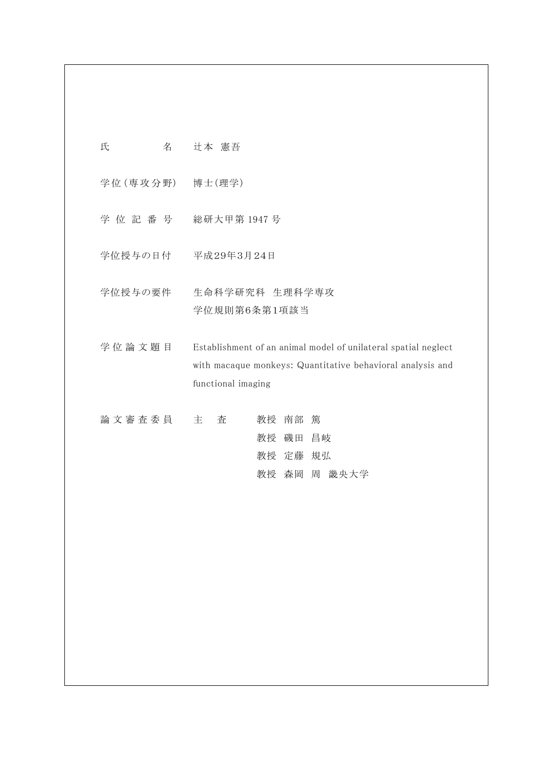| 氏<br>名          | 辻本 憲吾                                                                                                                                              |
|-----------------|----------------------------------------------------------------------------------------------------------------------------------------------------|
| 学位(専攻分野) 博士(理学) |                                                                                                                                                    |
|                 | 学 位 記 番 号 総研大甲第 1947 号                                                                                                                             |
|                 | 学位授与の日付 平成29年3月24日                                                                                                                                 |
| 学位授与の要件         | 生命科学研究科 生理科学専攻<br>学位規則第6条第1項該当                                                                                                                     |
| 学位論文題目          | Establishment of an animal model of unilateral spatial neglect<br>with macaque monkeys: Quantitative behavioral analysis and<br>functional imaging |
| 論文審査委員          | 南部<br>主<br>査<br>教授<br>篤<br>教授<br>磯田 昌岐<br>教授 定藤<br>規弘                                                                                              |

教授 森岡 周 畿央大学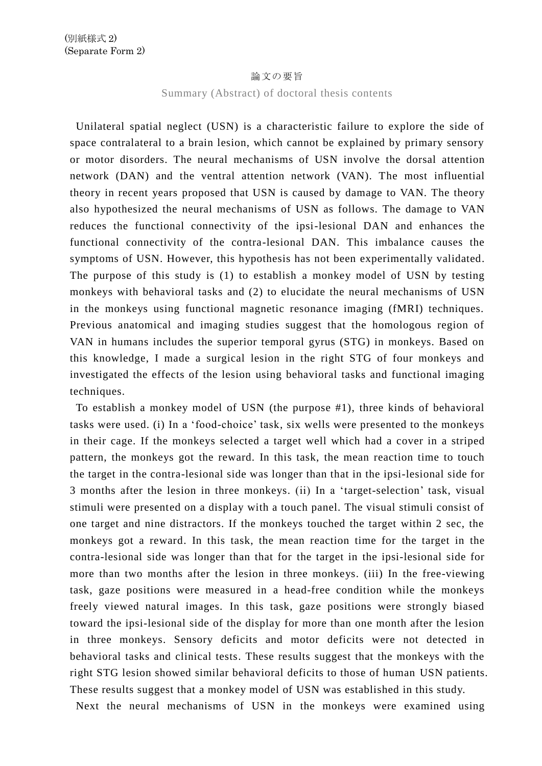## 論文の要旨

Summary (Abstract) of doctoral thesis contents

Unilateral spatial neglect (USN) is a characteristic failure to explore the side of space contralateral to a brain lesion, which cannot be explained by primary sensory or motor disorders. The neural mechanisms of USN involve the dorsal attention network (DAN) and the ventral attention network (VAN). The most influential theory in recent years proposed that USN is caused by damage to VAN. The theory also hypothesized the neural mechanisms of USN as follows. The damage to VAN reduces the functional connectivity of the ipsi-lesional DAN and enhances the functional connectivity of the contra-lesional DAN. This imbalance causes the symptoms of USN. However, this hypothesis has not been experimentally validated. The purpose of this study is (1) to establish a monkey model of USN by testing monkeys with behavioral tasks and (2) to elucidate the neural mechanisms of USN in the monkeys using functional magnetic resonance imaging (fMRI) techniques. Previous anatomical and imaging studies suggest that the homologous region of VAN in humans includes the superior temporal gyrus (STG) in monkeys. Based on this knowledge, I made a surgical lesion in the right STG of four monkeys and investigated the effects of the lesion using behavioral tasks and functional imaging techniques.

To establish a monkey model of USN (the purpose #1), three kinds of behavioral tasks were used. (i) In a 'food-choice' task, six wells were presented to the monkeys in their cage. If the monkeys selected a target well which had a cover in a striped pattern, the monkeys got the reward. In this task, the mean reaction time to touch the target in the contra-lesional side was longer than that in the ipsi-lesional side for 3 months after the lesion in three monkeys. (ii) In a 'target-selection' task, visual stimuli were presented on a display with a touch panel. The visual stimuli consist of one target and nine distractors. If the monkeys touched the target within 2 sec, the monkeys got a reward. In this task, the mean reaction time for the target in the contra-lesional side was longer than that for the target in the ipsi-lesional side for more than two months after the lesion in three monkeys. (iii) In the free-viewing task, gaze positions were measured in a head-free condition while the monkeys freely viewed natural images. In this task, gaze positions were strongly biased toward the ipsi-lesional side of the display for more than one month after the lesion in three monkeys. Sensory deficits and motor deficits were not detected in behavioral tasks and clinical tests. These results suggest that the monkeys with the right STG lesion showed similar behavioral deficits to those of human USN patients. These results suggest that a monkey model of USN was established in this study.

Next the neural mechanisms of USN in the monkeys were examined using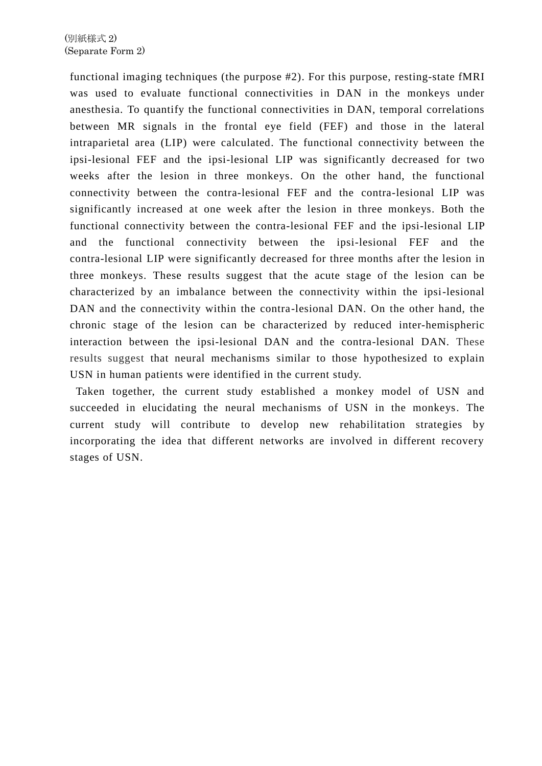functional imaging techniques (the purpose #2). For this purpose, resting-state fMRI was used to evaluate functional connectivities in DAN in the monkeys under anesthesia. To quantify the functional connectivities in DAN, temporal correlations between MR signals in the frontal eye field (FEF) and those in the lateral intraparietal area (LIP) were calculated. The functional connectivity between the ipsi-lesional FEF and the ipsi-lesional LIP was significantly decreased for two weeks after the lesion in three monkeys. On the other hand, the functional connectivity between the contra-lesional FEF and the contra-lesional LIP was significantly increased at one week after the lesion in three monkeys. Both the functional connectivity between the contra-lesional FEF and the ipsi-lesional LIP and the functional connectivity between the ipsi-lesional FEF and the contra-lesional LIP were significantly decreased for three months after the lesion in three monkeys. These results suggest that the acute stage of the lesion can be characterized by an imbalance between the connectivity within the ipsi-lesional DAN and the connectivity within the contra-lesional DAN. On the other hand, the chronic stage of the lesion can be characterized by reduced inter-hemispheric interaction between the ipsi-lesional DAN and the contra-lesional DAN. These results suggest that neural mechanisms similar to those hypothesized to explain USN in human patients were identified in the current study.

Taken together, the current study established a monkey model of USN and succeeded in elucidating the neural mechanisms of USN in the monkeys. The current study will contribute to develop new rehabilitation strategies by incorporating the idea that different networks are involved in different recovery stages of USN.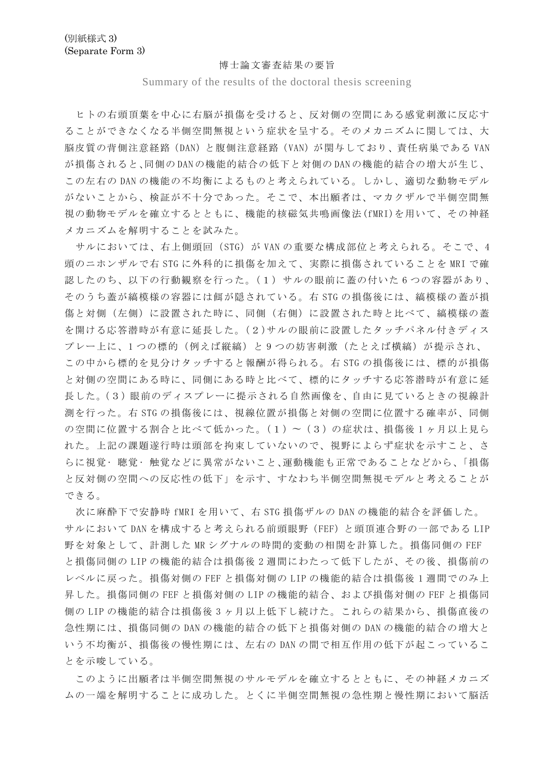## 博士論文審査結果の要旨

Summary of the results of the doctoral thesis screening

ヒトの右頭頂葉を中心に右脳が損傷を受けると、反対側の空間にある感覚刺激に反応す ることができなくなる半側空間無視という症状を呈する。そのメカニズムに関しては、大 脳皮質の背側注意経路(DAN)と腹側注意経路(VAN)が関与しており、責任病巣である VAN が損傷されると、同側の DAN の機能的結合の低下と対側の DAN の機能的結合の増大が生じ、 この左右の DAN の機能の不均衡によるものと考えられている。しかし、適切な動物モデル がないことから、検証が不十分であった。そこで、本出願者は、マカクザルで半側空間無 視の動物モデルを確立するとともに、機能的核磁気共鳴画像法(fMRI)を用いて、その神経 メカニズムを解明することを試みた。

サルにおいては、右上側頭回(STG)が VAN の重要な構成部位と考えられる。そこで、4 頭のニホンザルで右 STG に外科的に損傷を加えて、実際に損傷されていることを MRI で確 認したのち、以下の行動観察を行った。(1)サルの眼前に蓋の付いた 6 つの容器があり、 そのうち蓋が縞模様の容器には餌が隠されている。右 STG の損傷後には、縞模様の蓋が損 傷と対側(左側)に設置された時に、同側(右側)に設置された時と比べて、縞模様の蓋 を開ける応答潜時が有意に延長した。(2)サルの眼前に設置したタッチパネル付きディス プレー上に、1 つの標的(例えば縦縞)と 9 つの妨害刺激(たとえば横縞)が提示され、 この中から標的を見分けタッチすると報酬が得られる。右 STG の損傷後には、標的が損傷 と対側の空間にある時に、同側にある時と比べて、標的にタッチする応答潜時が有意に延 長した。(3)眼前のディスプレーに提示される自然画像を、自由に見ているときの視線計 測を行った。右 STG の損傷後には、視線位置が損傷と対側の空間に位置する確率が、同側 の空間に位置する割合と比べて低かった。(1) ~ (3) の症状は、損傷後 1 ヶ月以上見ら れた。上記の課題遂行時は頭部を拘束していないので、視野によらず症状を示すこと、さ らに視覚 • 聴覚 • 触覚などに異常がないこと、運動機能も正常であることなどから、「損傷 と反対側の空間への反応性の低下」を示す、すなわち半側空間無視モデルと考えることが できる。

次に麻酔下で安静時 fMRI を用いて、右 STG 損傷ザルの DAN の機能的結合を評価した。 サルにおいて DAN を構成すると考えられる前頭眼野(FEF)と頭頂連合野の一部である LIP 野を対象として、計測した MR シグナルの時間的変動の相関を計算した。損傷同側の FEF と損傷同側の LIP の機能的結合は損傷後 2 週間にわたって低下したが、その後、損傷前の レベルに戻った。損傷対側の FEF と損傷対側の LIP の機能的結合は損傷後 1 週間でのみ上 昇した。損傷同側の FEF と損傷対側の LIP の機能的結合、および損傷対側の FEF と損傷同 側の LIP の機能的結合は損傷後 3 ヶ月以上低下し続けた。これらの結果から、損傷直後の 急性期には、損傷同側の DAN の機能的結合の低下と損傷対側の DAN の機能的結合の増大と いう不均衡が、損傷後の慢性期には、左右の DAN の間で相互作用の低下が起こっているこ とを示唆している。

このように出願者は半側空間無視のサルモデルを確立するとともに、その神経メカニズ ムの一端を解明することに成功した。とくに半側空間無視の急性期と慢性期において脳活